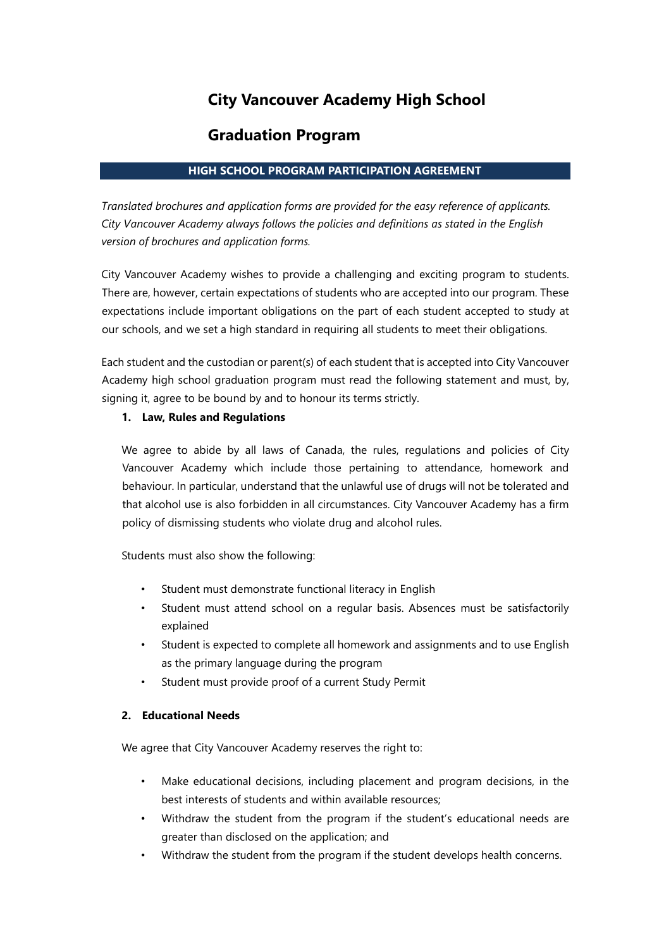# **City Vancouver Academy High School**

## **Graduation Program**

#### **HIGH SCHOOL PROGRAM PARTICIPATION AGREEMENT**

*Translated brochures and application forms are provided for the easy reference of applicants. City Vancouver Academy always follows the policies and definitions as stated in the English version of brochures and application forms.* 

City Vancouver Academy wishes to provide a challenging and exciting program to students. There are, however, certain expectations of students who are accepted into our program. These expectations include important obligations on the part of each student accepted to study at our schools, and we set a high standard in requiring all students to meet their obligations.

Each student and the custodian or parent(s) of each student that is accepted into City Vancouver Academy high school graduation program must read the following statement and must, by, signing it, agree to be bound by and to honour its terms strictly.

#### **1. Law, Rules and Regulations**

We agree to abide by all laws of Canada, the rules, regulations and policies of City Vancouver Academy which include those pertaining to attendance, homework and behaviour. In particular, understand that the unlawful use of drugs will not be tolerated and that alcohol use is also forbidden in all circumstances. City Vancouver Academy has a firm policy of dismissing students who violate drug and alcohol rules.

Students must also show the following:

- Student must demonstrate functional literacy in English
- Student must attend school on a regular basis. Absences must be satisfactorily explained
- Student is expected to complete all homework and assignments and to use English as the primary language during the program
- Student must provide proof of a current Study Permit

#### **2. Educational Needs**

We agree that City Vancouver Academy reserves the right to:

- Make educational decisions, including placement and program decisions, in the best interests of students and within available resources;
- Withdraw the student from the program if the student's educational needs are greater than disclosed on the application; and
- Withdraw the student from the program if the student develops health concerns.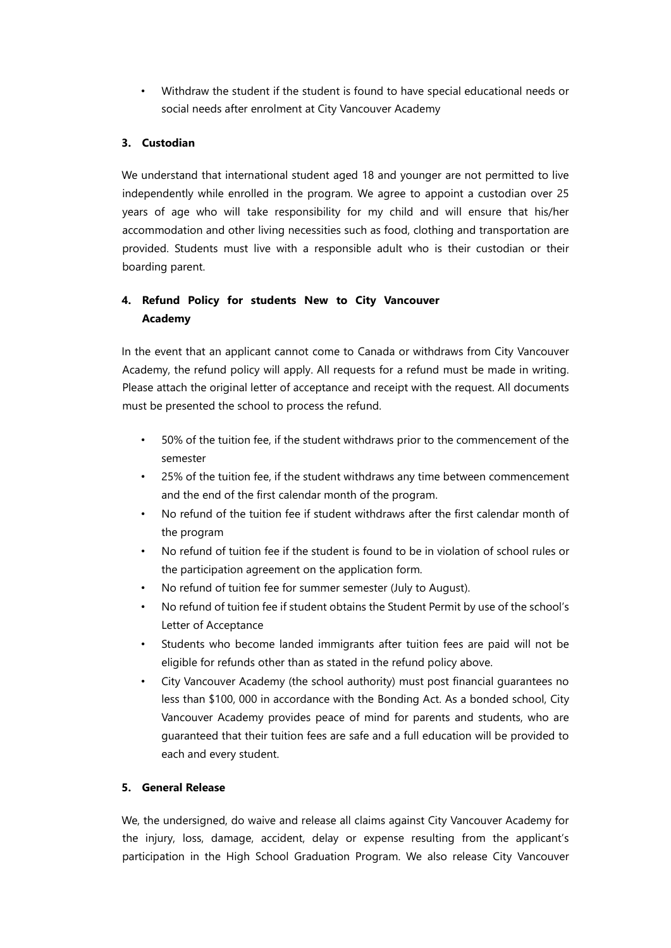• Withdraw the student if the student is found to have special educational needs or social needs after enrolment at City Vancouver Academy

#### **3. Custodian**

We understand that international student aged 18 and younger are not permitted to live independently while enrolled in the program. We agree to appoint a custodian over 25 years of age who will take responsibility for my child and will ensure that his/her accommodation and other living necessities such as food, clothing and transportation are provided. Students must live with a responsible adult who is their custodian or their boarding parent.

### **4. Refund Policy for students New to City Vancouver Academy**

In the event that an applicant cannot come to Canada or withdraws from City Vancouver Academy, the refund policy will apply. All requests for a refund must be made in writing. Please attach the original letter of acceptance and receipt with the request. All documents must be presented the school to process the refund.

- 50% of the tuition fee, if the student withdraws prior to the commencement of the semester
- 25% of the tuition fee, if the student withdraws any time between commencement and the end of the first calendar month of the program.
- No refund of the tuition fee if student withdraws after the first calendar month of the program
- No refund of tuition fee if the student is found to be in violation of school rules or the participation agreement on the application form.
- No refund of tuition fee for summer semester (July to August).
- No refund of tuition fee if student obtains the Student Permit by use of the school's Letter of Acceptance
- Students who become landed immigrants after tuition fees are paid will not be eligible for refunds other than as stated in the refund policy above.
- City Vancouver Academy (the school authority) must post financial guarantees no less than \$100, 000 in accordance with the Bonding Act. As a bonded school, City Vancouver Academy provides peace of mind for parents and students, who are guaranteed that their tuition fees are safe and a full education will be provided to each and every student.

#### **5. General Release**

We, the undersigned, do waive and release all claims against City Vancouver Academy for the injury, loss, damage, accident, delay or expense resulting from the applicant's participation in the High School Graduation Program. We also release City Vancouver